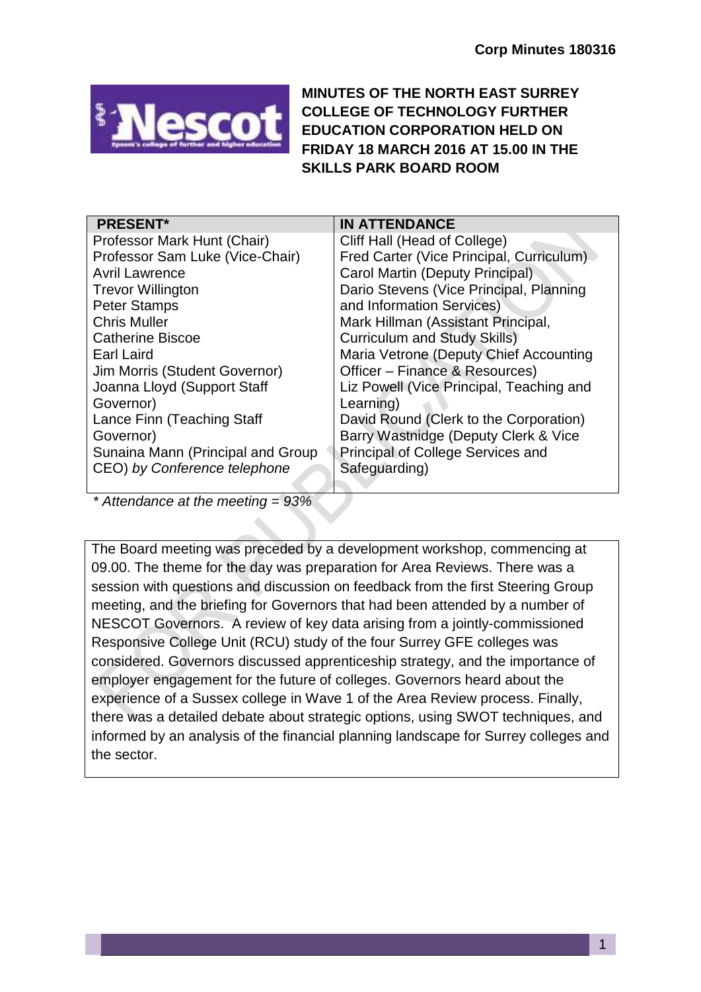

**MINUTES OF THE NORTH EAST SURREY COLLEGE OF TECHNOLOGY FURTHER EDUCATION CORPORATION HELD ON FRIDAY 18 MARCH 2016 AT 15.00 IN THE SKILLS PARK BOARD ROOM**

| <b>PRESENT*</b>                   | <b>IN ATTENDANCE</b>                     |
|-----------------------------------|------------------------------------------|
| Professor Mark Hunt (Chair)       | Cliff Hall (Head of College)             |
| Professor Sam Luke (Vice-Chair)   | Fred Carter (Vice Principal, Curriculum) |
| <b>Avril Lawrence</b>             | Carol Martin (Deputy Principal)          |
| <b>Trevor Willington</b>          | Dario Stevens (Vice Principal, Planning  |
| <b>Peter Stamps</b>               | and Information Services)                |
| <b>Chris Muller</b>               | Mark Hillman (Assistant Principal,       |
| <b>Catherine Biscoe</b>           | <b>Curriculum and Study Skills)</b>      |
| Earl Laird                        | Maria Vetrone (Deputy Chief Accounting   |
| Jim Morris (Student Governor)     | Officer - Finance & Resources)           |
| Joanna Lloyd (Support Staff       | Liz Powell (Vice Principal, Teaching and |
| Governor)                         | Learning)                                |
| Lance Finn (Teaching Staff        | David Round (Clerk to the Corporation)   |
| Governor)                         | Barry Wastnidge (Deputy Clerk & Vice     |
| Sunaina Mann (Principal and Group | Principal of College Services and        |
| CEO) by Conference telephone      | Safeguarding)                            |
|                                   |                                          |

*\* Attendance at the meeting = 93%*

The Board meeting was preceded by a development workshop, commencing at 09.00. The theme for the day was preparation for Area Reviews. There was a session with questions and discussion on feedback from the first Steering Group meeting, and the briefing for Governors that had been attended by a number of NESCOT Governors. A review of key data arising from a jointly-commissioned Responsive College Unit (RCU) study of the four Surrey GFE colleges was considered. Governors discussed apprenticeship strategy, and the importance of employer engagement for the future of colleges. Governors heard about the experience of a Sussex college in Wave 1 of the Area Review process. Finally, there was a detailed debate about strategic options, using SWOT techniques, and informed by an analysis of the financial planning landscape for Surrey colleges and the sector.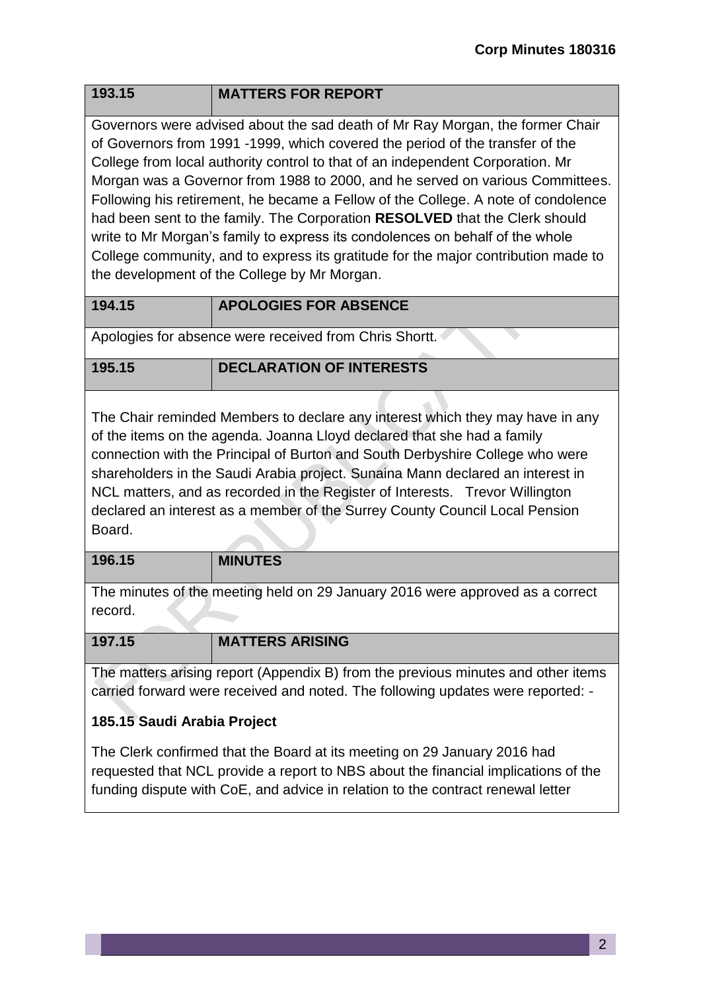Governors were advised about the sad death of Mr Ray Morgan, the former Chair of Governors from 1991 -1999, which covered the period of the transfer of the College from local authority control to that of an independent Corporation. Mr Morgan was a Governor from 1988 to 2000, and he served on various Committees. Following his retirement, he became a Fellow of the College. A note of condolence had been sent to the family. The Corporation **RESOLVED** that the Clerk should write to Mr Morgan's family to express its condolences on behalf of the whole College community, and to express its gratitude for the major contribution made to the development of the College by Mr Morgan.

| 194.15 | <b>APOLOGIES FOR ABSENCE</b> |
|--------|------------------------------|

Apologies for absence were received from Chris Shortt.

# **195.15 DECLARATION OF INTERESTS**

The Chair reminded Members to declare any interest which they may have in any of the items on the agenda. Joanna Lloyd declared that she had a family connection with the Principal of Burton and South Derbyshire College who were shareholders in the Saudi Arabia project. Sunaina Mann declared an interest in NCL matters, and as recorded in the Register of Interests. Trevor Willington declared an interest as a member of the Surrey County Council Local Pension Board.

#### **196.15 MINUTES**

The minutes of the meeting held on 29 January 2016 were approved as a correct record.

| 197.15                                                                            | <b>MATTERS ARISING</b> |
|-----------------------------------------------------------------------------------|------------------------|
|                                                                                   |                        |
| The matters arising report (Appendix B) from the previous minutes and other items |                        |
| carried forward were received and noted. The following updates were reported: -   |                        |

### **185.15 Saudi Arabia Project**

The Clerk confirmed that the Board at its meeting on 29 January 2016 had requested that NCL provide a report to NBS about the financial implications of the funding dispute with CoE, and advice in relation to the contract renewal letter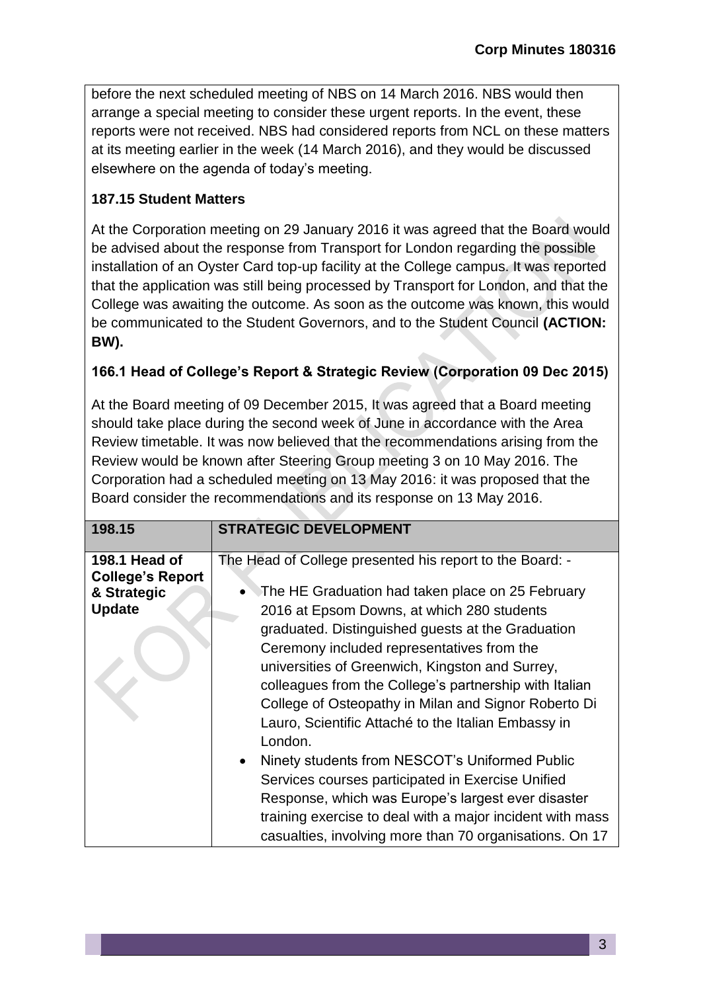before the next scheduled meeting of NBS on 14 March 2016. NBS would then arrange a special meeting to consider these urgent reports. In the event, these reports were not received. NBS had considered reports from NCL on these matters at its meeting earlier in the week (14 March 2016), and they would be discussed elsewhere on the agenda of today's meeting.

# **187.15 Student Matters**

At the Corporation meeting on 29 January 2016 it was agreed that the Board would be advised about the response from Transport for London regarding the possible installation of an Oyster Card top-up facility at the College campus. It was reported that the application was still being processed by Transport for London, and that the College was awaiting the outcome. As soon as the outcome was known, this would be communicated to the Student Governors, and to the Student Council **(ACTION: BW).**

## **166.1 Head of College's Report & Strategic Review (Corporation 09 Dec 2015)**

At the Board meeting of 09 December 2015, It was agreed that a Board meeting should take place during the second week of June in accordance with the Area Review timetable. It was now believed that the recommendations arising from the Review would be known after Steering Group meeting 3 on 10 May 2016. The Corporation had a scheduled meeting on 13 May 2016: it was proposed that the Board consider the recommendations and its response on 13 May 2016.

| 198.15                                   | <b>STRATEGIC DEVELOPMENT</b>                                                                                                                                                                                                                                                                                                                                                         |
|------------------------------------------|--------------------------------------------------------------------------------------------------------------------------------------------------------------------------------------------------------------------------------------------------------------------------------------------------------------------------------------------------------------------------------------|
| 198.1 Head of<br><b>College's Report</b> | The Head of College presented his report to the Board: -                                                                                                                                                                                                                                                                                                                             |
| & Strategic                              | The HE Graduation had taken place on 25 February                                                                                                                                                                                                                                                                                                                                     |
| <b>Update</b>                            | 2016 at Epsom Downs, at which 280 students<br>graduated. Distinguished guests at the Graduation<br>Ceremony included representatives from the<br>universities of Greenwich, Kingston and Surrey,<br>colleagues from the College's partnership with Italian<br>College of Osteopathy in Milan and Signor Roberto Di<br>Lauro, Scientific Attaché to the Italian Embassy in<br>London. |
|                                          | Ninety students from NESCOT's Uniformed Public<br>Services courses participated in Exercise Unified<br>Response, which was Europe's largest ever disaster<br>training exercise to deal with a major incident with mass<br>casualties, involving more than 70 organisations. On 17                                                                                                    |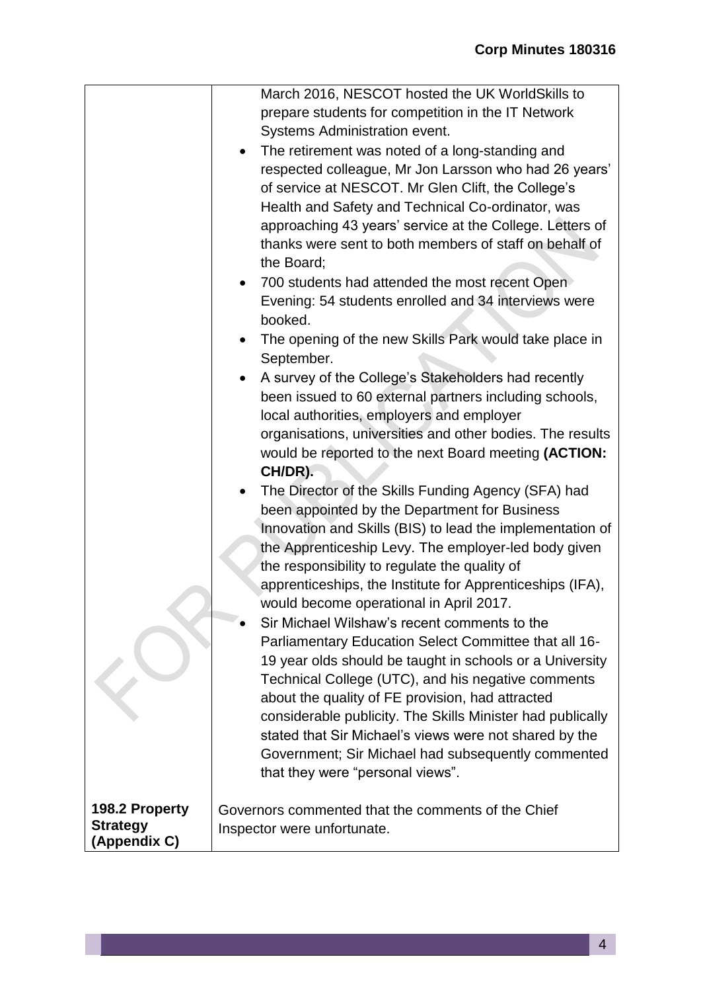|                                   | March 2016, NESCOT hosted the UK WorldSkills to                                                            |
|-----------------------------------|------------------------------------------------------------------------------------------------------------|
|                                   | prepare students for competition in the IT Network                                                         |
|                                   | Systems Administration event.                                                                              |
|                                   | The retirement was noted of a long-standing and<br>$\bullet$                                               |
|                                   | respected colleague, Mr Jon Larsson who had 26 years'                                                      |
|                                   | of service at NESCOT. Mr Glen Clift, the College's                                                         |
|                                   | Health and Safety and Technical Co-ordinator, was                                                          |
|                                   | approaching 43 years' service at the College. Letters of                                                   |
|                                   | thanks were sent to both members of staff on behalf of                                                     |
|                                   | the Board;                                                                                                 |
|                                   | 700 students had attended the most recent Open<br>$\bullet$                                                |
|                                   | Evening: 54 students enrolled and 34 interviews were                                                       |
|                                   | booked.                                                                                                    |
|                                   | The opening of the new Skills Park would take place in                                                     |
|                                   | September.                                                                                                 |
|                                   | A survey of the College's Stakeholders had recently<br>$\bullet$                                           |
|                                   | been issued to 60 external partners including schools,                                                     |
|                                   | local authorities, employers and employer                                                                  |
|                                   | organisations, universities and other bodies. The results                                                  |
|                                   | would be reported to the next Board meeting (ACTION:                                                       |
|                                   | CH/DR).                                                                                                    |
|                                   | The Director of the Skills Funding Agency (SFA) had<br>$\bullet$                                           |
|                                   | been appointed by the Department for Business<br>Innovation and Skills (BIS) to lead the implementation of |
|                                   | the Apprenticeship Levy. The employer-led body given                                                       |
|                                   | the responsibility to regulate the quality of                                                              |
|                                   | apprenticeships, the Institute for Apprenticeships (IFA),                                                  |
|                                   | would become operational in April 2017.                                                                    |
|                                   | Sir Michael Wilshaw's recent comments to the                                                               |
|                                   | Parliamentary Education Select Committee that all 16-                                                      |
|                                   | 19 year olds should be taught in schools or a University                                                   |
|                                   | Technical College (UTC), and his negative comments                                                         |
|                                   | about the quality of FE provision, had attracted                                                           |
|                                   | considerable publicity. The Skills Minister had publically                                                 |
|                                   | stated that Sir Michael's views were not shared by the                                                     |
|                                   | Government; Sir Michael had subsequently commented                                                         |
|                                   | that they were "personal views".                                                                           |
|                                   |                                                                                                            |
| 198.2 Property<br><b>Strategy</b> | Governors commented that the comments of the Chief                                                         |
| (Appendix C)                      | Inspector were unfortunate.                                                                                |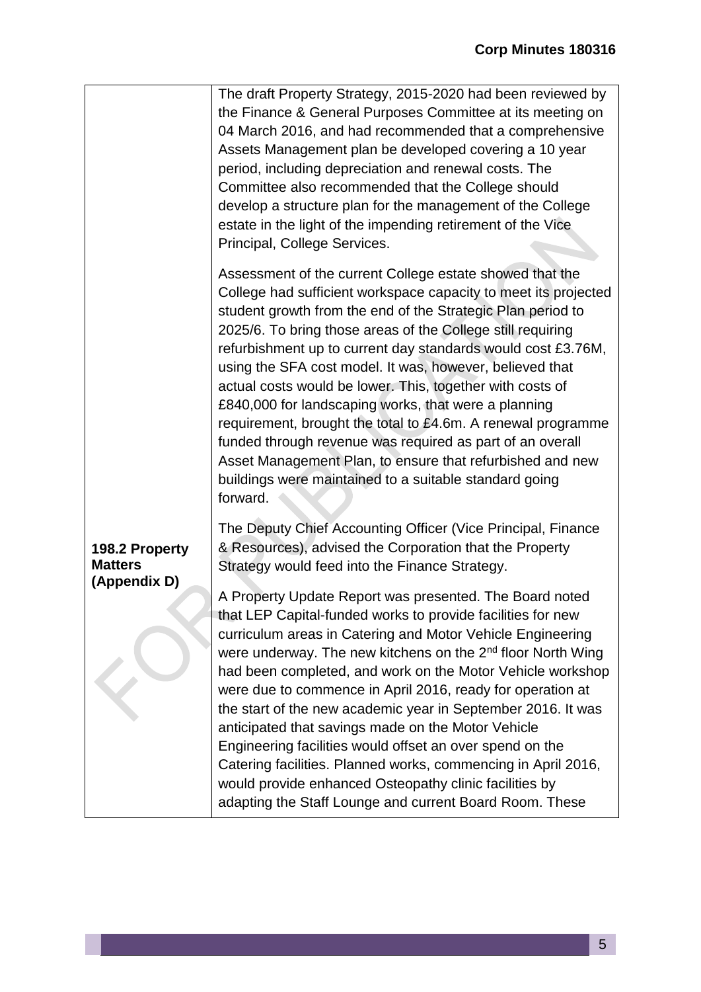|                                  | The draft Property Strategy, 2015-2020 had been reviewed by<br>the Finance & General Purposes Committee at its meeting on<br>04 March 2016, and had recommended that a comprehensive<br>Assets Management plan be developed covering a 10 year<br>period, including depreciation and renewal costs. The<br>Committee also recommended that the College should<br>develop a structure plan for the management of the College<br>estate in the light of the impending retirement of the Vice<br>Principal, College Services.                                                                                                                                                                                                                                                 |
|----------------------------------|----------------------------------------------------------------------------------------------------------------------------------------------------------------------------------------------------------------------------------------------------------------------------------------------------------------------------------------------------------------------------------------------------------------------------------------------------------------------------------------------------------------------------------------------------------------------------------------------------------------------------------------------------------------------------------------------------------------------------------------------------------------------------|
|                                  | Assessment of the current College estate showed that the<br>College had sufficient workspace capacity to meet its projected<br>student growth from the end of the Strategic Plan period to<br>2025/6. To bring those areas of the College still requiring<br>refurbishment up to current day standards would cost £3.76M,<br>using the SFA cost model. It was, however, believed that<br>actual costs would be lower. This, together with costs of<br>£840,000 for landscaping works, that were a planning<br>requirement, brought the total to £4.6m. A renewal programme<br>funded through revenue was required as part of an overall<br>Asset Management Plan, to ensure that refurbished and new<br>buildings were maintained to a suitable standard going<br>forward. |
| 198.2 Property<br><b>Matters</b> | The Deputy Chief Accounting Officer (Vice Principal, Finance<br>& Resources), advised the Corporation that the Property<br>Strategy would feed into the Finance Strategy.                                                                                                                                                                                                                                                                                                                                                                                                                                                                                                                                                                                                  |
| (Appendix D)                     | A Property Update Report was presented. The Board noted<br>that LEP Capital-funded works to provide facilities for new<br>curriculum areas in Catering and Motor Vehicle Engineering<br>were underway. The new kitchens on the 2 <sup>nd</sup> floor North Wing<br>had been completed, and work on the Motor Vehicle workshop<br>were due to commence in April 2016, ready for operation at<br>the start of the new academic year in September 2016. It was<br>anticipated that savings made on the Motor Vehicle<br>Engineering facilities would offset an over spend on the<br>Catering facilities. Planned works, commencing in April 2016,<br>would provide enhanced Osteopathy clinic facilities by<br>adapting the Staff Lounge and current Board Room. These        |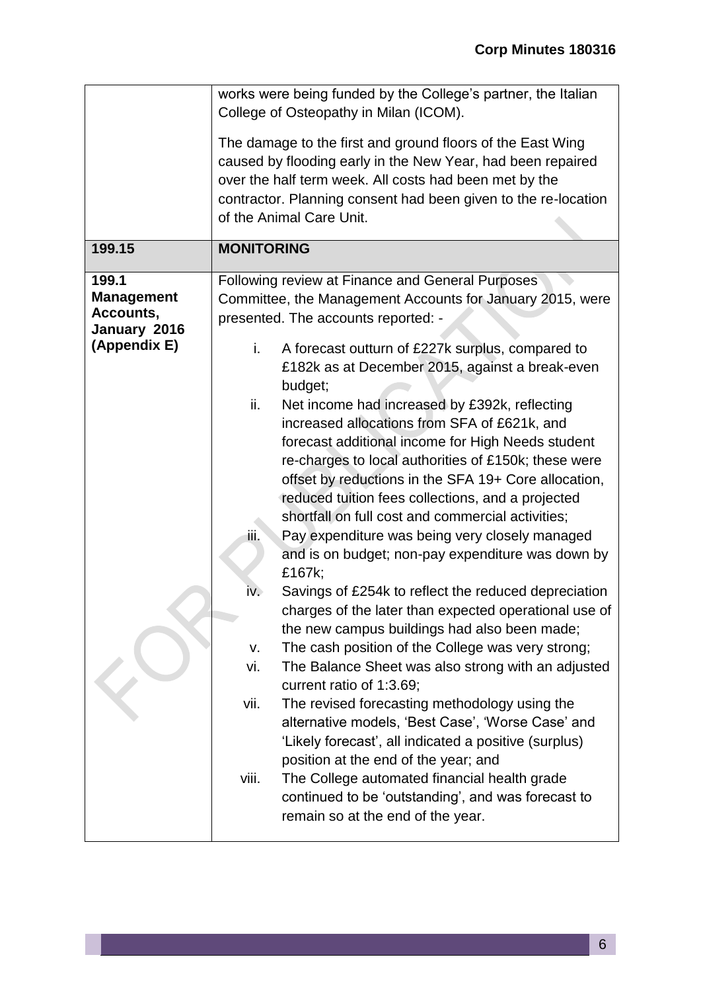|                                                                         | works were being funded by the College's partner, the Italian<br>College of Osteopathy in Milan (ICOM).                                                                                                                                                                                                                                                                                                                                                                                                                                                                                                                       |
|-------------------------------------------------------------------------|-------------------------------------------------------------------------------------------------------------------------------------------------------------------------------------------------------------------------------------------------------------------------------------------------------------------------------------------------------------------------------------------------------------------------------------------------------------------------------------------------------------------------------------------------------------------------------------------------------------------------------|
|                                                                         | The damage to the first and ground floors of the East Wing<br>caused by flooding early in the New Year, had been repaired<br>over the half term week. All costs had been met by the<br>contractor. Planning consent had been given to the re-location<br>of the Animal Care Unit.                                                                                                                                                                                                                                                                                                                                             |
| 199.15                                                                  | <b>MONITORING</b>                                                                                                                                                                                                                                                                                                                                                                                                                                                                                                                                                                                                             |
| 199.1<br><b>Management</b><br>Accounts,<br>January 2016<br>(Appendix E) | Following review at Finance and General Purposes<br>Committee, the Management Accounts for January 2015, were<br>presented. The accounts reported: -<br>A forecast outturn of £227k surplus, compared to<br>i.<br>£182k as at December 2015, against a break-even<br>budget;<br>ii.<br>Net income had increased by £392k, reflecting                                                                                                                                                                                                                                                                                          |
|                                                                         | increased allocations from SFA of £621k, and<br>forecast additional income for High Needs student<br>re-charges to local authorities of £150k; these were<br>offset by reductions in the SFA 19+ Core allocation,<br>reduced tuition fees collections, and a projected<br>shortfall on full cost and commercial activities;<br>Pay expenditure was being very closely managed<br>ijij,<br>and is on budget; non-pay expenditure was down by<br>£167k;<br>Savings of £254k to reflect the reduced depreciation<br>iv.<br>charges of the later than expected operational use of<br>the new campus buildings had also been made; |
|                                                                         | The cash position of the College was very strong;<br>V.<br>vi.<br>The Balance Sheet was also strong with an adjusted<br>current ratio of 1:3.69;<br>vii.<br>The revised forecasting methodology using the<br>alternative models, 'Best Case', 'Worse Case' and<br>'Likely forecast', all indicated a positive (surplus)<br>position at the end of the year; and                                                                                                                                                                                                                                                               |
|                                                                         | viii.<br>The College automated financial health grade<br>continued to be 'outstanding', and was forecast to<br>remain so at the end of the year.                                                                                                                                                                                                                                                                                                                                                                                                                                                                              |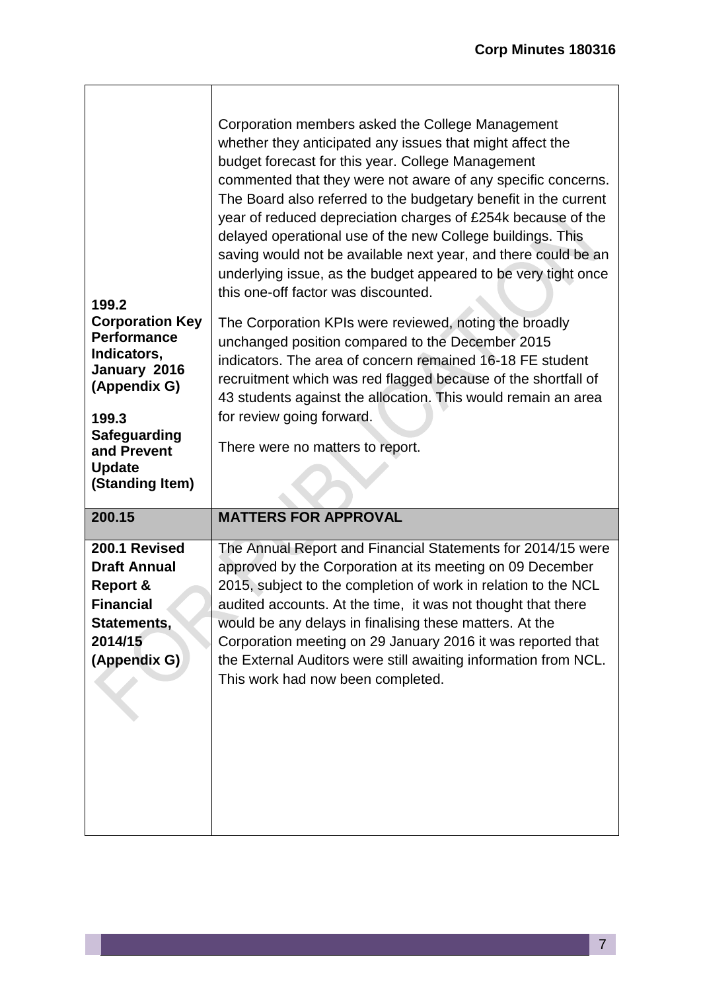| 199.2<br><b>Corporation Key</b><br><b>Performance</b><br>Indicators,<br>January 2016<br>(Appendix G)<br>199.3<br><b>Safeguarding</b><br>and Prevent<br><b>Update</b><br>(Standing Item) | Corporation members asked the College Management<br>whether they anticipated any issues that might affect the<br>budget forecast for this year. College Management<br>commented that they were not aware of any specific concerns.<br>The Board also referred to the budgetary benefit in the current<br>year of reduced depreciation charges of £254k because of the<br>delayed operational use of the new College buildings. This<br>saving would not be available next year, and there could be an<br>underlying issue, as the budget appeared to be very tight once<br>this one-off factor was discounted.<br>The Corporation KPIs were reviewed, noting the broadly<br>unchanged position compared to the December 2015<br>indicators. The area of concern remained 16-18 FE student<br>recruitment which was red flagged because of the shortfall of<br>43 students against the allocation. This would remain an area<br>for review going forward.<br>There were no matters to report. |
|-----------------------------------------------------------------------------------------------------------------------------------------------------------------------------------------|----------------------------------------------------------------------------------------------------------------------------------------------------------------------------------------------------------------------------------------------------------------------------------------------------------------------------------------------------------------------------------------------------------------------------------------------------------------------------------------------------------------------------------------------------------------------------------------------------------------------------------------------------------------------------------------------------------------------------------------------------------------------------------------------------------------------------------------------------------------------------------------------------------------------------------------------------------------------------------------------|
| 200.15                                                                                                                                                                                  | <b>MATTERS FOR APPROVAL</b>                                                                                                                                                                                                                                                                                                                                                                                                                                                                                                                                                                                                                                                                                                                                                                                                                                                                                                                                                                  |
| 200.1 Revised<br><b>Draft Annual</b><br><b>Report &amp;</b><br><b>Financial</b><br>Statements,<br>2014/15<br>(Appendix G)                                                               | The Annual Report and Financial Statements for 2014/15 were<br>approved by the Corporation at its meeting on 09 December<br>2015, subject to the completion of work in relation to the NCL<br>audited accounts. At the time, it was not thought that there<br>would be any delays in finalising these matters. At the<br>Corporation meeting on 29 January 2016 it was reported that<br>the External Auditors were still awaiting information from NCL.<br>This work had now been completed.                                                                                                                                                                                                                                                                                                                                                                                                                                                                                                 |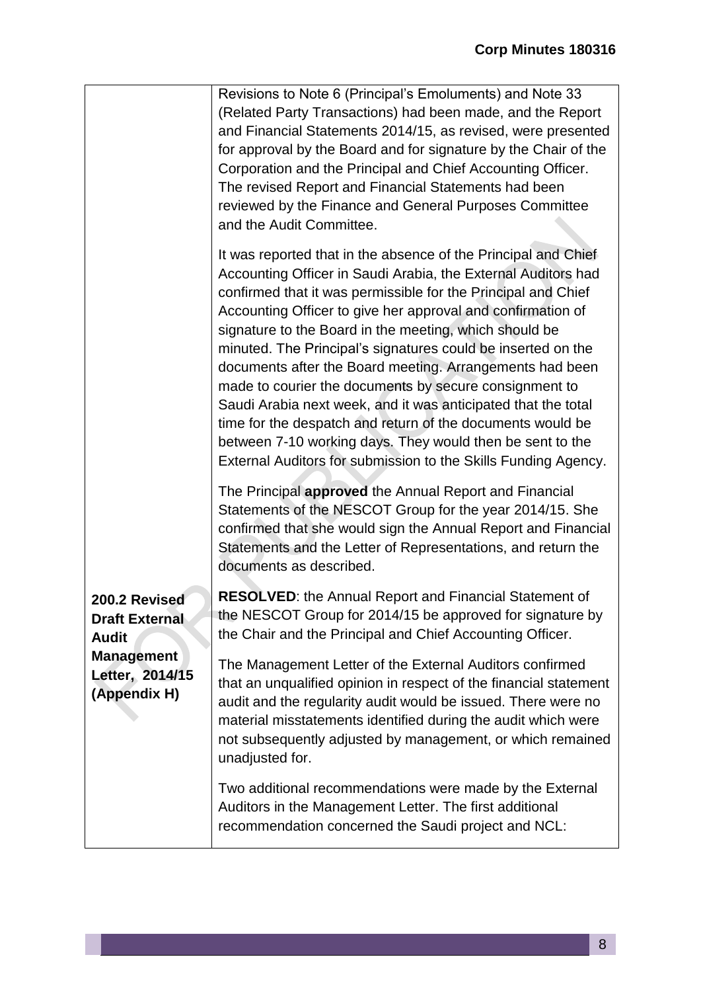|                                                                                                                | Revisions to Note 6 (Principal's Emoluments) and Note 33<br>(Related Party Transactions) had been made, and the Report<br>and Financial Statements 2014/15, as revised, were presented<br>for approval by the Board and for signature by the Chair of the<br>Corporation and the Principal and Chief Accounting Officer.<br>The revised Report and Financial Statements had been<br>reviewed by the Finance and General Purposes Committee<br>and the Audit Committee.                                                                                                                                                                                                                                                                                                                                                                  |
|----------------------------------------------------------------------------------------------------------------|-----------------------------------------------------------------------------------------------------------------------------------------------------------------------------------------------------------------------------------------------------------------------------------------------------------------------------------------------------------------------------------------------------------------------------------------------------------------------------------------------------------------------------------------------------------------------------------------------------------------------------------------------------------------------------------------------------------------------------------------------------------------------------------------------------------------------------------------|
|                                                                                                                | It was reported that in the absence of the Principal and Chief<br>Accounting Officer in Saudi Arabia, the External Auditors had<br>confirmed that it was permissible for the Principal and Chief<br>Accounting Officer to give her approval and confirmation of<br>signature to the Board in the meeting, which should be<br>minuted. The Principal's signatures could be inserted on the<br>documents after the Board meeting. Arrangements had been<br>made to courier the documents by secure consignment to<br>Saudi Arabia next week, and it was anticipated that the total<br>time for the despatch and return of the documents would be<br>between 7-10 working days. They would then be sent to the<br>External Auditors for submission to the Skills Funding Agency.<br>The Principal approved the Annual Report and Financial |
| 200.2 Revised<br><b>Draft External</b><br><b>Audit</b><br><b>Management</b><br>Letter, 2014/15<br>(Appendix H) | Statements of the NESCOT Group for the year 2014/15. She<br>confirmed that she would sign the Annual Report and Financial<br>Statements and the Letter of Representations, and return the<br>documents as described.                                                                                                                                                                                                                                                                                                                                                                                                                                                                                                                                                                                                                    |
|                                                                                                                | <b>RESOLVED:</b> the Annual Report and Financial Statement of<br>the NESCOT Group for 2014/15 be approved for signature by<br>the Chair and the Principal and Chief Accounting Officer.                                                                                                                                                                                                                                                                                                                                                                                                                                                                                                                                                                                                                                                 |
|                                                                                                                | The Management Letter of the External Auditors confirmed<br>that an unqualified opinion in respect of the financial statement<br>audit and the regularity audit would be issued. There were no<br>material misstatements identified during the audit which were<br>not subsequently adjusted by management, or which remained<br>unadjusted for.                                                                                                                                                                                                                                                                                                                                                                                                                                                                                        |
|                                                                                                                | Two additional recommendations were made by the External<br>Auditors in the Management Letter. The first additional<br>recommendation concerned the Saudi project and NCL:                                                                                                                                                                                                                                                                                                                                                                                                                                                                                                                                                                                                                                                              |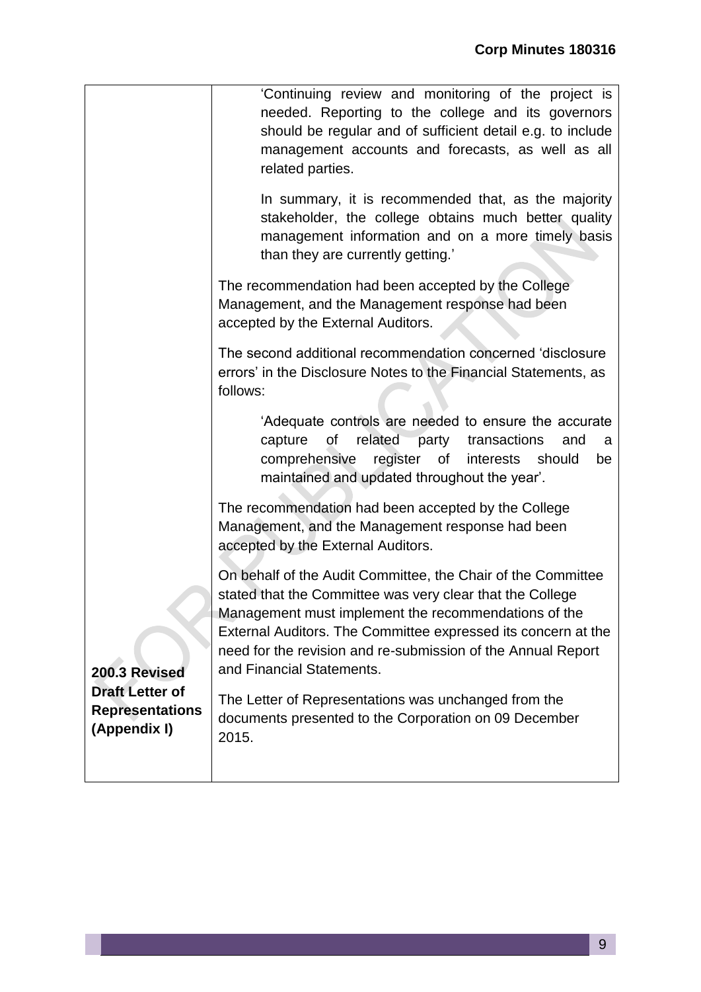|                                                                                   | 'Continuing review and monitoring of the project is<br>needed. Reporting to the college and its governors<br>should be regular and of sufficient detail e.g. to include<br>management accounts and forecasts, as well as all<br>related parties.                                                                                                |
|-----------------------------------------------------------------------------------|-------------------------------------------------------------------------------------------------------------------------------------------------------------------------------------------------------------------------------------------------------------------------------------------------------------------------------------------------|
|                                                                                   | In summary, it is recommended that, as the majority<br>stakeholder, the college obtains much better quality<br>management information and on a more timely basis<br>than they are currently getting.                                                                                                                                            |
|                                                                                   | The recommendation had been accepted by the College<br>Management, and the Management response had been<br>accepted by the External Auditors.                                                                                                                                                                                                   |
|                                                                                   | The second additional recommendation concerned 'disclosure<br>errors' in the Disclosure Notes to the Financial Statements, as<br>follows:                                                                                                                                                                                                       |
|                                                                                   | 'Adequate controls are needed to ensure the accurate<br>related party<br>capture<br>οf<br>transactions<br>and<br>a<br>register of<br>comprehensive<br>interests<br>should<br>be<br>maintained and updated throughout the year'.                                                                                                                 |
|                                                                                   | The recommendation had been accepted by the College<br>Management, and the Management response had been<br>accepted by the External Auditors.                                                                                                                                                                                                   |
| 200.3 Revised<br><b>Draft Letter of</b><br><b>Representations</b><br>(Appendix I) | On behalf of the Audit Committee, the Chair of the Committee<br>stated that the Committee was very clear that the College<br>Management must implement the recommendations of the<br>External Auditors. The Committee expressed its concern at the<br>need for the revision and re-submission of the Annual Report<br>and Financial Statements. |
|                                                                                   | The Letter of Representations was unchanged from the<br>documents presented to the Corporation on 09 December<br>2015.                                                                                                                                                                                                                          |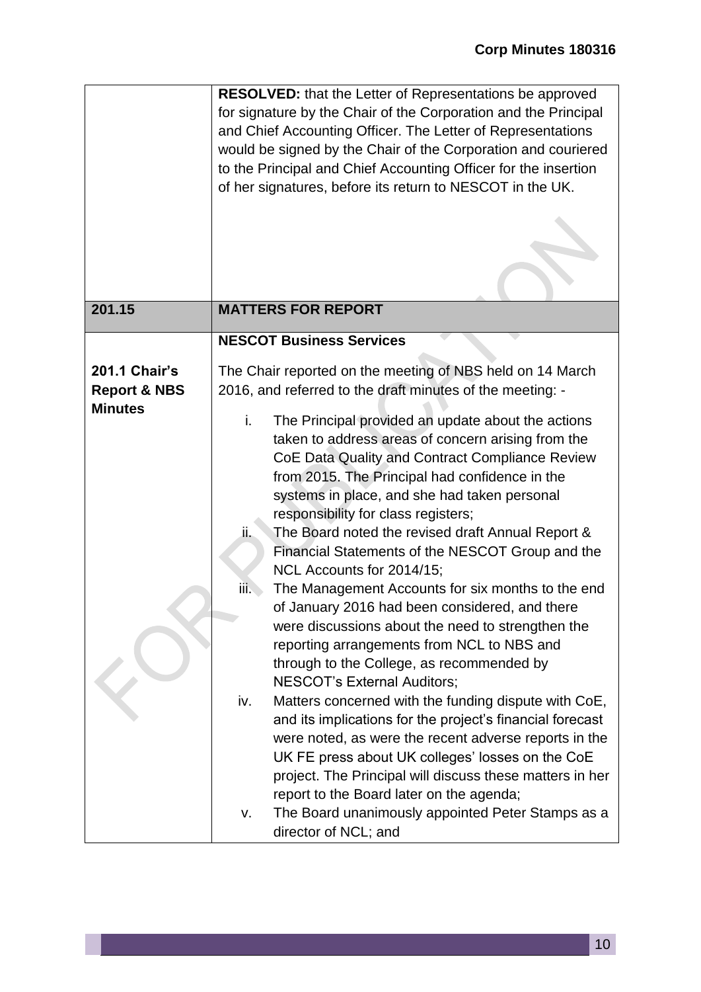|                                                 | <b>RESOLVED:</b> that the Letter of Representations be approved<br>for signature by the Chair of the Corporation and the Principal<br>and Chief Accounting Officer. The Letter of Representations<br>would be signed by the Chair of the Corporation and couriered<br>to the Principal and Chief Accounting Officer for the insertion<br>of her signatures, before its return to NESCOT in the UK.                                                                                                                                                                                                                                                                                                                                                                                                                                                                                                                                                                                                                                                                                                            |
|-------------------------------------------------|---------------------------------------------------------------------------------------------------------------------------------------------------------------------------------------------------------------------------------------------------------------------------------------------------------------------------------------------------------------------------------------------------------------------------------------------------------------------------------------------------------------------------------------------------------------------------------------------------------------------------------------------------------------------------------------------------------------------------------------------------------------------------------------------------------------------------------------------------------------------------------------------------------------------------------------------------------------------------------------------------------------------------------------------------------------------------------------------------------------|
|                                                 |                                                                                                                                                                                                                                                                                                                                                                                                                                                                                                                                                                                                                                                                                                                                                                                                                                                                                                                                                                                                                                                                                                               |
| 201.15                                          | <b>MATTERS FOR REPORT</b>                                                                                                                                                                                                                                                                                                                                                                                                                                                                                                                                                                                                                                                                                                                                                                                                                                                                                                                                                                                                                                                                                     |
|                                                 | <b>NESCOT Business Services</b>                                                                                                                                                                                                                                                                                                                                                                                                                                                                                                                                                                                                                                                                                                                                                                                                                                                                                                                                                                                                                                                                               |
| <b>201.1 Chair's</b><br><b>Report &amp; NBS</b> | The Chair reported on the meeting of NBS held on 14 March<br>2016, and referred to the draft minutes of the meeting: -                                                                                                                                                                                                                                                                                                                                                                                                                                                                                                                                                                                                                                                                                                                                                                                                                                                                                                                                                                                        |
| <b>Minutes</b>                                  | The Principal provided an update about the actions<br>i.<br>taken to address areas of concern arising from the<br>CoE Data Quality and Contract Compliance Review<br>from 2015. The Principal had confidence in the<br>systems in place, and she had taken personal<br>responsibility for class registers;<br>The Board noted the revised draft Annual Report &<br>ii.<br>Financial Statements of the NESCOT Group and the<br>NCL Accounts for 2014/15;<br>The Management Accounts for six months to the end<br>iii.<br>of January 2016 had been considered, and there<br>were discussions about the need to strengthen the<br>reporting arrangements from NCL to NBS and<br>through to the College, as recommended by<br><b>NESCOT's External Auditors;</b><br>Matters concerned with the funding dispute with CoE,<br>iv.<br>and its implications for the project's financial forecast<br>were noted, as were the recent adverse reports in the<br>UK FE press about UK colleges' losses on the CoE<br>project. The Principal will discuss these matters in her<br>report to the Board later on the agenda; |
|                                                 | The Board unanimously appointed Peter Stamps as a<br>۷.<br>director of NCL; and                                                                                                                                                                                                                                                                                                                                                                                                                                                                                                                                                                                                                                                                                                                                                                                                                                                                                                                                                                                                                               |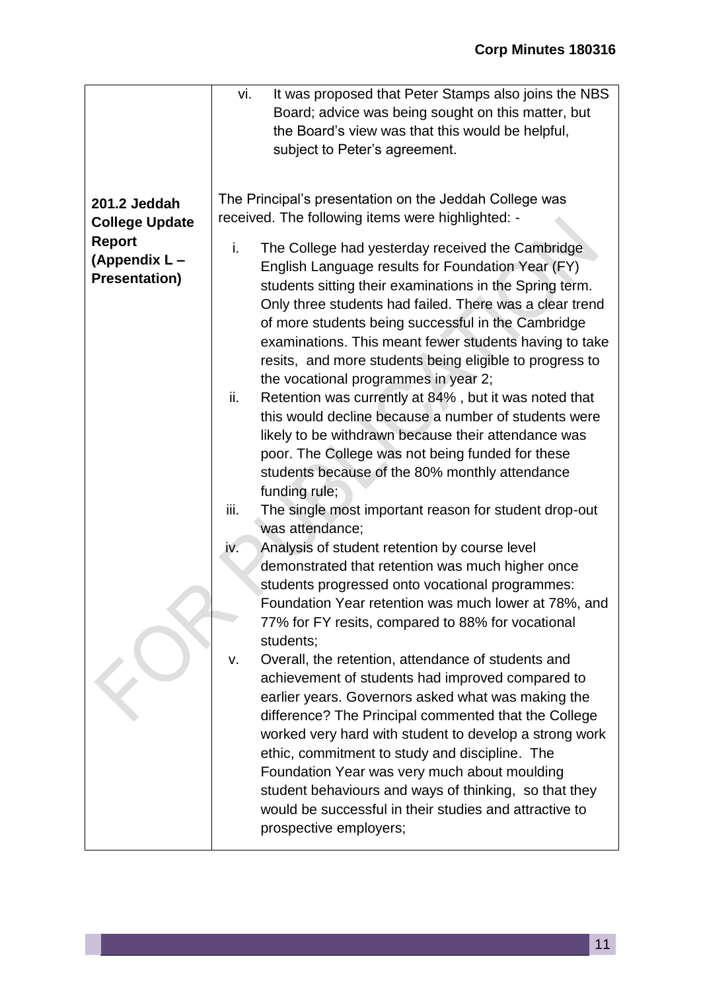|                       | vi.<br>It was proposed that Peter Stamps also joins the NBS              |
|-----------------------|--------------------------------------------------------------------------|
|                       | Board; advice was being sought on this matter, but                       |
|                       | the Board's view was that this would be helpful,                         |
|                       | subject to Peter's agreement.                                            |
|                       |                                                                          |
| 201.2 Jeddah          | The Principal's presentation on the Jeddah College was                   |
| <b>College Update</b> | received. The following items were highlighted: -                        |
| <b>Report</b>         | i.<br>The College had yesterday received the Cambridge                   |
| (Appendix L-          | English Language results for Foundation Year (FY)                        |
| <b>Presentation)</b>  | students sitting their examinations in the Spring term.                  |
|                       | Only three students had failed. There was a clear trend                  |
|                       | of more students being successful in the Cambridge                       |
|                       | examinations. This meant fewer students having to take                   |
|                       | resits, and more students being eligible to progress to                  |
|                       | the vocational programmes in year 2;                                     |
|                       | Retention was currently at 84%, but it was noted that<br>ii.             |
|                       | this would decline because a number of students were                     |
|                       | likely to be withdrawn because their attendance was                      |
|                       | poor. The College was not being funded for these                         |
|                       | students because of the 80% monthly attendance                           |
|                       | funding rule;                                                            |
|                       | iii.                                                                     |
|                       | The single most important reason for student drop-out<br>was attendance; |
|                       | iv.<br>Analysis of student retention by course level                     |
|                       | demonstrated that retention was much higher once                         |
|                       | students progressed onto vocational programmes:                          |
|                       | Foundation Year retention was much lower at 78%, and                     |
|                       | 77% for FY resits, compared to 88% for vocational                        |
|                       | students;                                                                |
|                       | Overall, the retention, attendance of students and<br>v.                 |
|                       | achievement of students had improved compared to                         |
|                       | earlier years. Governors asked what was making the                       |
|                       | difference? The Principal commented that the College                     |
|                       | worked very hard with student to develop a strong work                   |
|                       | ethic, commitment to study and discipline. The                           |
|                       | Foundation Year was very much about moulding                             |
|                       | student behaviours and ways of thinking, so that they                    |
|                       | would be successful in their studies and attractive to                   |
|                       | prospective employers;                                                   |
|                       |                                                                          |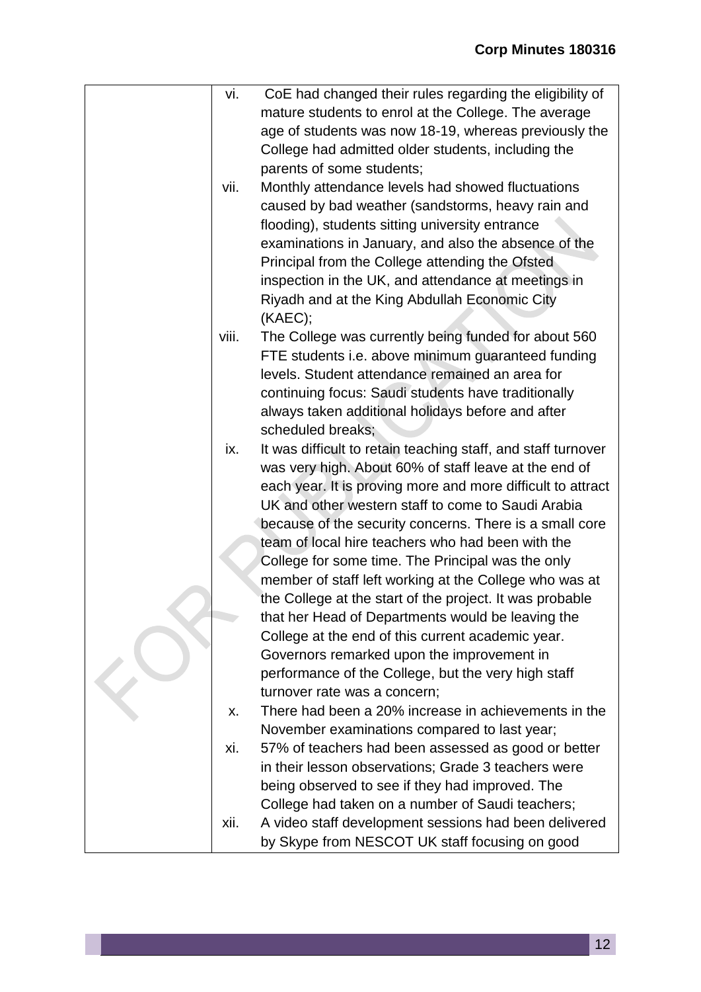| vi.   | CoE had changed their rules regarding the eligibility of      |
|-------|---------------------------------------------------------------|
|       | mature students to enrol at the College. The average          |
|       | age of students was now 18-19, whereas previously the         |
|       | College had admitted older students, including the            |
|       | parents of some students;                                     |
| vii.  | Monthly attendance levels had showed fluctuations             |
|       | caused by bad weather (sandstorms, heavy rain and             |
|       | flooding), students sitting university entrance               |
|       | examinations in January, and also the absence of the          |
|       | Principal from the College attending the Ofsted               |
|       | inspection in the UK, and attendance at meetings in           |
|       | Riyadh and at the King Abdullah Economic City                 |
|       | (KAEC);                                                       |
| viii. | The College was currently being funded for about 560          |
|       | FTE students i.e. above minimum guaranteed funding            |
|       | levels. Student attendance remained an area for               |
|       | continuing focus: Saudi students have traditionally           |
|       | always taken additional holidays before and after             |
|       | scheduled breaks;                                             |
| ix.   | It was difficult to retain teaching staff, and staff turnover |
|       | was very high. About 60% of staff leave at the end of         |
|       | each year. It is proving more and more difficult to attract   |
|       | UK and other western staff to come to Saudi Arabia            |
|       | because of the security concerns. There is a small core       |
|       | team of local hire teachers who had been with the             |
|       | College for some time. The Principal was the only             |
|       | member of staff left working at the College who was at        |
|       | the College at the start of the project. It was probable      |
|       | that her Head of Departments would be leaving the             |
|       | College at the end of this current academic year.             |
|       | Governors remarked upon the improvement in                    |
|       | performance of the College, but the very high staff           |
|       | turnover rate was a concern;                                  |
| Х.    | There had been a 20% increase in achievements in the          |
|       | November examinations compared to last year;                  |
| xi.   | 57% of teachers had been assessed as good or better           |
|       | in their lesson observations; Grade 3 teachers were           |
|       | being observed to see if they had improved. The               |
|       | College had taken on a number of Saudi teachers;              |
| xii.  | A video staff development sessions had been delivered         |
|       | by Skype from NESCOT UK staff focusing on good                |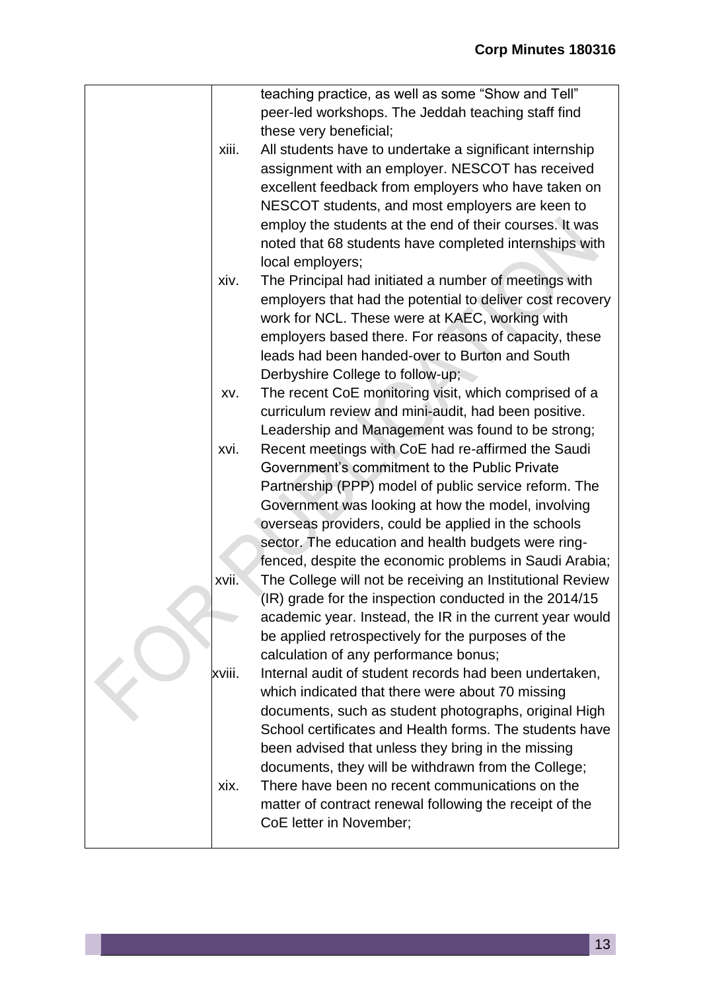|        | teaching practice, as well as some "Show and Tell"        |
|--------|-----------------------------------------------------------|
|        | peer-led workshops. The Jeddah teaching staff find        |
|        | these very beneficial;                                    |
| xiii.  | All students have to undertake a significant internship   |
|        | assignment with an employer. NESCOT has received          |
|        | excellent feedback from employers who have taken on       |
|        | NESCOT students, and most employers are keen to           |
|        | employ the students at the end of their courses. It was   |
|        | noted that 68 students have completed internships with    |
|        | local employers;                                          |
| xiv.   | The Principal had initiated a number of meetings with     |
|        | employers that had the potential to deliver cost recovery |
|        | work for NCL. These were at KAEC, working with            |
|        | employers based there. For reasons of capacity, these     |
|        | leads had been handed-over to Burton and South            |
|        | Derbyshire College to follow-up;                          |
| XV.    | The recent CoE monitoring visit, which comprised of a     |
|        | curriculum review and mini-audit, had been positive.      |
|        | Leadership and Management was found to be strong;         |
| xvi.   | Recent meetings with CoE had re-affirmed the Saudi        |
|        | Government's commitment to the Public Private             |
|        | Partnership (PPP) model of public service reform. The     |
|        | Government was looking at how the model, involving        |
|        | overseas providers, could be applied in the schools       |
|        | sector. The education and health budgets were ring-       |
|        | fenced, despite the economic problems in Saudi Arabia;    |
| xvii.  | The College will not be receiving an Institutional Review |
|        | (IR) grade for the inspection conducted in the 2014/15    |
|        | academic year. Instead, the IR in the current year would  |
|        | be applied retrospectively for the purposes of the        |
|        | calculation of any performance bonus;                     |
| xviii. | Internal audit of student records had been undertaken,    |
|        | which indicated that there were about 70 missing          |
|        | documents, such as student photographs, original High     |
|        | School certificates and Health forms. The students have   |
|        | been advised that unless they bring in the missing        |
|        | documents, they will be withdrawn from the College;       |
| xix.   | There have been no recent communications on the           |
|        | matter of contract renewal following the receipt of the   |
|        | CoE letter in November;                                   |
|        |                                                           |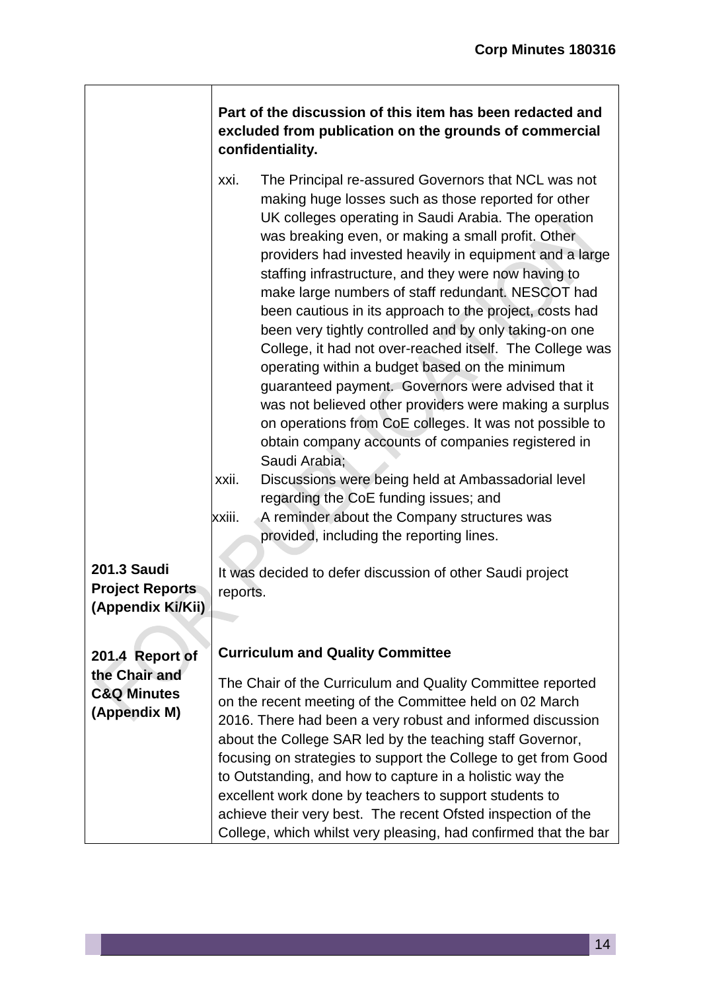|                                        | Part of the discussion of this item has been redacted and<br>excluded from publication on the grounds of commercial<br>confidentiality.                                                                                                                                                                                                                                                                                                                                                                                                                                                                                                                                                                                                                                                                                                                                                                                                                                                                                                                                                                    |
|----------------------------------------|------------------------------------------------------------------------------------------------------------------------------------------------------------------------------------------------------------------------------------------------------------------------------------------------------------------------------------------------------------------------------------------------------------------------------------------------------------------------------------------------------------------------------------------------------------------------------------------------------------------------------------------------------------------------------------------------------------------------------------------------------------------------------------------------------------------------------------------------------------------------------------------------------------------------------------------------------------------------------------------------------------------------------------------------------------------------------------------------------------|
|                                        | The Principal re-assured Governors that NCL was not<br>xxi.<br>making huge losses such as those reported for other<br>UK colleges operating in Saudi Arabia. The operation<br>was breaking even, or making a small profit. Other<br>providers had invested heavily in equipment and a large<br>staffing infrastructure, and they were now having to<br>make large numbers of staff redundant. NESCOT had<br>been cautious in its approach to the project, costs had<br>been very tightly controlled and by only taking-on one<br>College, it had not over-reached itself. The College was<br>operating within a budget based on the minimum<br>guaranteed payment. Governors were advised that it<br>was not believed other providers were making a surplus<br>on operations from CoE colleges. It was not possible to<br>obtain company accounts of companies registered in<br>Saudi Arabia;<br>Discussions were being held at Ambassadorial level<br>xxii.<br>regarding the CoE funding issues; and<br>xxiii.<br>A reminder about the Company structures was<br>provided, including the reporting lines. |
| <b>201.3 Saudi</b>                     | It was decided to defer discussion of other Saudi project                                                                                                                                                                                                                                                                                                                                                                                                                                                                                                                                                                                                                                                                                                                                                                                                                                                                                                                                                                                                                                                  |
| <b>Project Reports</b>                 | reports.                                                                                                                                                                                                                                                                                                                                                                                                                                                                                                                                                                                                                                                                                                                                                                                                                                                                                                                                                                                                                                                                                                   |
| (Appendix Ki/Kii)                      |                                                                                                                                                                                                                                                                                                                                                                                                                                                                                                                                                                                                                                                                                                                                                                                                                                                                                                                                                                                                                                                                                                            |
|                                        | <b>Curriculum and Quality Committee</b>                                                                                                                                                                                                                                                                                                                                                                                                                                                                                                                                                                                                                                                                                                                                                                                                                                                                                                                                                                                                                                                                    |
| 201.4 Report of<br>the Chair and       |                                                                                                                                                                                                                                                                                                                                                                                                                                                                                                                                                                                                                                                                                                                                                                                                                                                                                                                                                                                                                                                                                                            |
| <b>C&amp;Q Minutes</b><br>(Appendix M) | The Chair of the Curriculum and Quality Committee reported<br>on the recent meeting of the Committee held on 02 March<br>2016. There had been a very robust and informed discussion<br>about the College SAR led by the teaching staff Governor,                                                                                                                                                                                                                                                                                                                                                                                                                                                                                                                                                                                                                                                                                                                                                                                                                                                           |
|                                        | focusing on strategies to support the College to get from Good<br>to Outstanding, and how to capture in a holistic way the<br>excellent work done by teachers to support students to<br>achieve their very best. The recent Ofsted inspection of the<br>College, which whilst very pleasing, had confirmed that the bar                                                                                                                                                                                                                                                                                                                                                                                                                                                                                                                                                                                                                                                                                                                                                                                    |

 $\Box$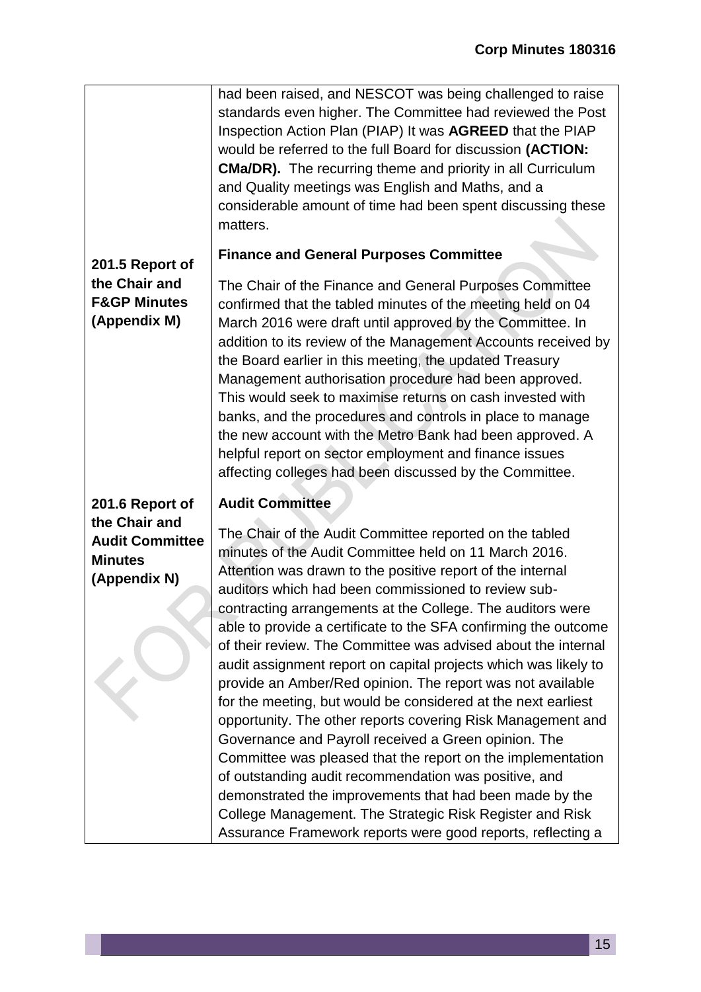|                                                                           | had been raised, and NESCOT was being challenged to raise<br>standards even higher. The Committee had reviewed the Post<br>Inspection Action Plan (PIAP) It was AGREED that the PIAP<br>would be referred to the full Board for discussion (ACTION:<br><b>CMa/DR).</b> The recurring theme and priority in all Curriculum<br>and Quality meetings was English and Maths, and a<br>considerable amount of time had been spent discussing these<br>matters.                                                                                                                                                                                                                                                                                                                                                                                                                                                                                                                                                                                                                      |
|---------------------------------------------------------------------------|--------------------------------------------------------------------------------------------------------------------------------------------------------------------------------------------------------------------------------------------------------------------------------------------------------------------------------------------------------------------------------------------------------------------------------------------------------------------------------------------------------------------------------------------------------------------------------------------------------------------------------------------------------------------------------------------------------------------------------------------------------------------------------------------------------------------------------------------------------------------------------------------------------------------------------------------------------------------------------------------------------------------------------------------------------------------------------|
| 201.5 Report of                                                           | <b>Finance and General Purposes Committee</b>                                                                                                                                                                                                                                                                                                                                                                                                                                                                                                                                                                                                                                                                                                                                                                                                                                                                                                                                                                                                                                  |
| the Chair and<br><b>F&amp;GP Minutes</b><br>(Appendix M)                  | The Chair of the Finance and General Purposes Committee<br>confirmed that the tabled minutes of the meeting held on 04<br>March 2016 were draft until approved by the Committee. In<br>addition to its review of the Management Accounts received by<br>the Board earlier in this meeting, the updated Treasury<br>Management authorisation procedure had been approved.<br>This would seek to maximise returns on cash invested with<br>banks, and the procedures and controls in place to manage<br>the new account with the Metro Bank had been approved. A<br>helpful report on sector employment and finance issues<br>affecting colleges had been discussed by the Committee.                                                                                                                                                                                                                                                                                                                                                                                            |
| 201.6 Report of                                                           | <b>Audit Committee</b>                                                                                                                                                                                                                                                                                                                                                                                                                                                                                                                                                                                                                                                                                                                                                                                                                                                                                                                                                                                                                                                         |
| the Chair and<br><b>Audit Committee</b><br><b>Minutes</b><br>(Appendix N) | The Chair of the Audit Committee reported on the tabled<br>minutes of the Audit Committee held on 11 March 2016.<br>Attention was drawn to the positive report of the internal<br>auditors which had been commissioned to review sub-<br>contracting arrangements at the College. The auditors were<br>able to provide a certificate to the SFA confirming the outcome<br>of their review. The Committee was advised about the internal<br>audit assignment report on capital projects which was likely to<br>provide an Amber/Red opinion. The report was not available<br>for the meeting, but would be considered at the next earliest<br>opportunity. The other reports covering Risk Management and<br>Governance and Payroll received a Green opinion. The<br>Committee was pleased that the report on the implementation<br>of outstanding audit recommendation was positive, and<br>demonstrated the improvements that had been made by the<br>College Management. The Strategic Risk Register and Risk<br>Assurance Framework reports were good reports, reflecting a |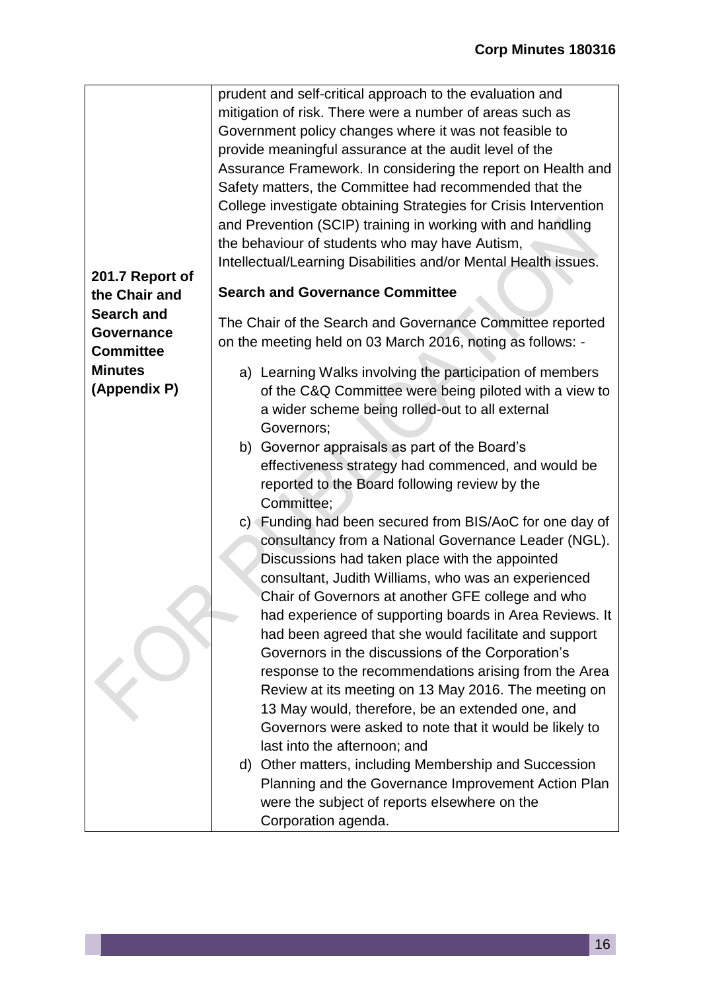|                   | prudent and self-critical approach to the evaluation and         |
|-------------------|------------------------------------------------------------------|
|                   | mitigation of risk. There were a number of areas such as         |
|                   | Government policy changes where it was not feasible to           |
|                   |                                                                  |
|                   | provide meaningful assurance at the audit level of the           |
|                   | Assurance Framework. In considering the report on Health and     |
|                   | Safety matters, the Committee had recommended that the           |
|                   | College investigate obtaining Strategies for Crisis Intervention |
|                   | and Prevention (SCIP) training in working with and handling      |
|                   | the behaviour of students who may have Autism,                   |
| 201.7 Report of   | Intellectual/Learning Disabilities and/or Mental Health issues.  |
| the Chair and     | <b>Search and Governance Committee</b>                           |
| <b>Search and</b> |                                                                  |
| Governance        | The Chair of the Search and Governance Committee reported        |
| <b>Committee</b>  | on the meeting held on 03 March 2016, noting as follows: -       |
| <b>Minutes</b>    | a) Learning Walks involving the participation of members         |
| (Appendix P)      | of the C&Q Committee were being piloted with a view to           |
|                   | a wider scheme being rolled-out to all external                  |
|                   | Governors;                                                       |
|                   | b) Governor appraisals as part of the Board's                    |
|                   | effectiveness strategy had commenced, and would be               |
|                   | reported to the Board following review by the                    |
|                   | Committee;                                                       |
|                   | c) Funding had been secured from BIS/AoC for one day of          |
|                   | consultancy from a National Governance Leader (NGL).             |
|                   | Discussions had taken place with the appointed                   |
|                   | consultant, Judith Williams, who was an experienced              |
|                   | Chair of Governors at another GFE college and who                |
|                   | had experience of supporting boards in Area Reviews. It          |
|                   | had been agreed that she would facilitate and support            |
|                   | Governors in the discussions of the Corporation's                |
|                   | response to the recommendations arising from the Area            |
|                   | Review at its meeting on 13 May 2016. The meeting on             |
|                   | 13 May would, therefore, be an extended one, and                 |
|                   | Governors were asked to note that it would be likely to          |
|                   | last into the afternoon; and                                     |
|                   | d) Other matters, including Membership and Succession            |
|                   | Planning and the Governance Improvement Action Plan              |
|                   | were the subject of reports elsewhere on the                     |
|                   | Corporation agenda.                                              |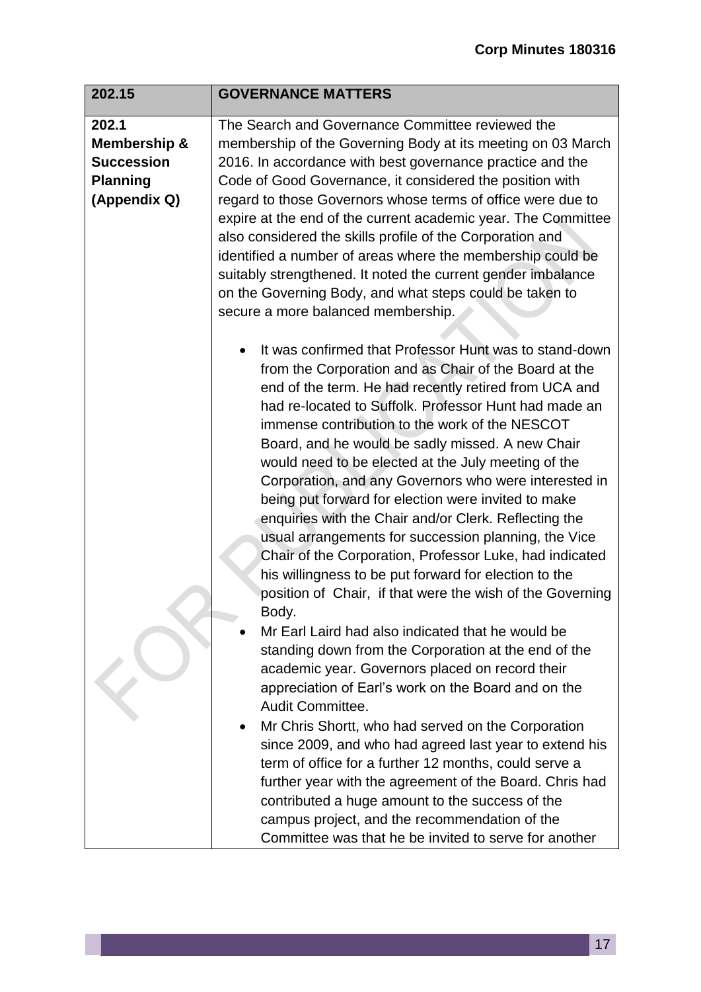| 202.15                                                                        | <b>GOVERNANCE MATTERS</b>                                                                                                                                                                                                                                                                                                                                                                                                                                                                                                                                                                                                                                                                                                                                                                                                                                                                                                                                                                                                                                                                                                                                                                                                                                                                                                                                                                                                                                             |
|-------------------------------------------------------------------------------|-----------------------------------------------------------------------------------------------------------------------------------------------------------------------------------------------------------------------------------------------------------------------------------------------------------------------------------------------------------------------------------------------------------------------------------------------------------------------------------------------------------------------------------------------------------------------------------------------------------------------------------------------------------------------------------------------------------------------------------------------------------------------------------------------------------------------------------------------------------------------------------------------------------------------------------------------------------------------------------------------------------------------------------------------------------------------------------------------------------------------------------------------------------------------------------------------------------------------------------------------------------------------------------------------------------------------------------------------------------------------------------------------------------------------------------------------------------------------|
|                                                                               |                                                                                                                                                                                                                                                                                                                                                                                                                                                                                                                                                                                                                                                                                                                                                                                                                                                                                                                                                                                                                                                                                                                                                                                                                                                                                                                                                                                                                                                                       |
| 202.1<br>Membership &<br><b>Succession</b><br><b>Planning</b><br>(Appendix Q) | The Search and Governance Committee reviewed the<br>membership of the Governing Body at its meeting on 03 March<br>2016. In accordance with best governance practice and the<br>Code of Good Governance, it considered the position with<br>regard to those Governors whose terms of office were due to<br>expire at the end of the current academic year. The Committee<br>also considered the skills profile of the Corporation and<br>identified a number of areas where the membership could be<br>suitably strengthened. It noted the current gender imbalance<br>on the Governing Body, and what steps could be taken to<br>secure a more balanced membership.                                                                                                                                                                                                                                                                                                                                                                                                                                                                                                                                                                                                                                                                                                                                                                                                  |
|                                                                               | It was confirmed that Professor Hunt was to stand-down<br>from the Corporation and as Chair of the Board at the<br>end of the term. He had recently retired from UCA and<br>had re-located to Suffolk. Professor Hunt had made an<br>immense contribution to the work of the NESCOT<br>Board, and he would be sadly missed. A new Chair<br>would need to be elected at the July meeting of the<br>Corporation, and any Governors who were interested in<br>being put forward for election were invited to make<br>enquiries with the Chair and/or Clerk. Reflecting the<br>usual arrangements for succession planning, the Vice<br>Chair of the Corporation, Professor Luke, had indicated<br>his willingness to be put forward for election to the<br>position of Chair, if that were the wish of the Governing<br>Body.<br>Mr Earl Laird had also indicated that he would be<br>standing down from the Corporation at the end of the<br>academic year. Governors placed on record their<br>appreciation of Earl's work on the Board and on the<br>Audit Committee.<br>Mr Chris Shortt, who had served on the Corporation<br>since 2009, and who had agreed last year to extend his<br>term of office for a further 12 months, could serve a<br>further year with the agreement of the Board. Chris had<br>contributed a huge amount to the success of the<br>campus project, and the recommendation of the<br>Committee was that he be invited to serve for another |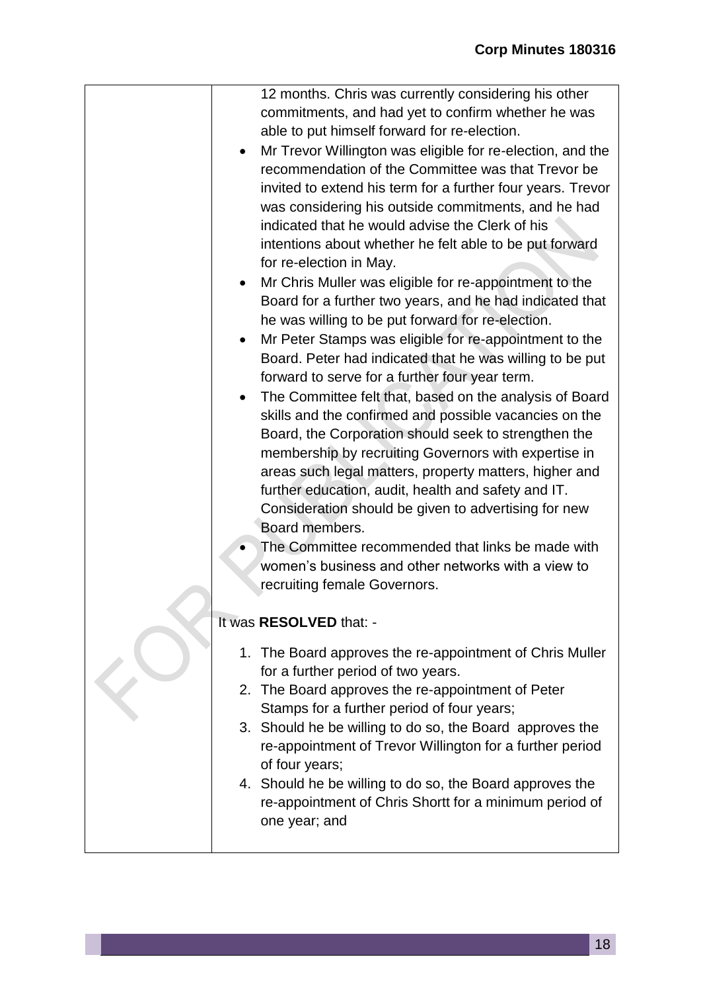| 12 months. Chris was currently considering his other        |
|-------------------------------------------------------------|
| commitments, and had yet to confirm whether he was          |
| able to put himself forward for re-election.                |
| Mr Trevor Willington was eligible for re-election, and the  |
| recommendation of the Committee was that Trevor be          |
| invited to extend his term for a further four years. Trevor |
| was considering his outside commitments, and he had         |
| indicated that he would advise the Clerk of his             |
| intentions about whether he felt able to be put forward     |
| for re-election in May.                                     |
| Mr Chris Muller was eligible for re-appointment to the      |
| Board for a further two years, and he had indicated that    |
| he was willing to be put forward for re-election.           |
| Mr Peter Stamps was eligible for re-appointment to the      |
| Board. Peter had indicated that he was willing to be put    |
| forward to serve for a further four year term.              |
| The Committee felt that, based on the analysis of Board     |
| skills and the confirmed and possible vacancies on the      |
| Board, the Corporation should seek to strengthen the        |
| membership by recruiting Governors with expertise in        |
| areas such legal matters, property matters, higher and      |
| further education, audit, health and safety and IT.         |
| Consideration should be given to advertising for new        |
| Board members.                                              |
| The Committee recommended that links be made with           |
| women's business and other networks with a view to          |
| recruiting female Governors.                                |
| It was RESOLVED that: -                                     |
|                                                             |
| 1. The Board approves the re-appointment of Chris Muller    |
| for a further period of two years.                          |
| 2. The Board approves the re-appointment of Peter           |
| Stamps for a further period of four years;                  |
| 3. Should he be willing to do so, the Board approves the    |
| re-appointment of Trevor Willington for a further period    |
| of four years;                                              |
| 4. Should he be willing to do so, the Board approves the    |
| re-appointment of Chris Shortt for a minimum period of      |
| one year; and                                               |
|                                                             |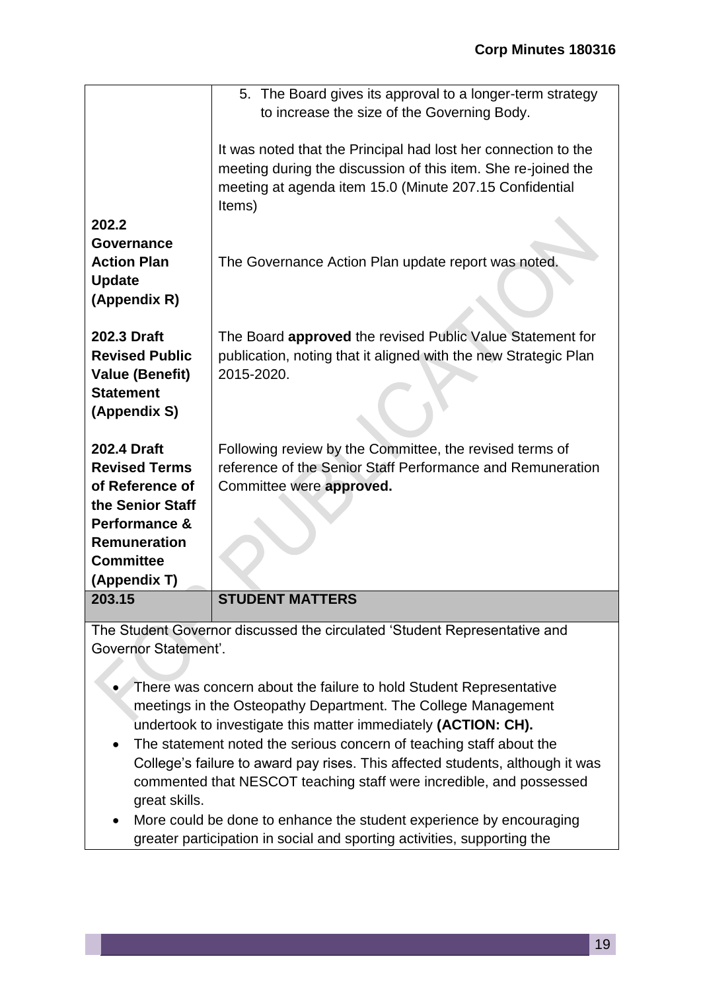| 203.15                                                                                                                                  | <b>STUDENT MATTERS</b>                                                                                                                                                                                                                                                                                           |
|-----------------------------------------------------------------------------------------------------------------------------------------|------------------------------------------------------------------------------------------------------------------------------------------------------------------------------------------------------------------------------------------------------------------------------------------------------------------|
| <b>Revised Terms</b><br>of Reference of<br>the Senior Staff<br>Performance &<br><b>Remuneration</b><br><b>Committee</b><br>(Appendix T) | reference of the Senior Staff Performance and Remuneration<br>Committee were approved.                                                                                                                                                                                                                           |
| 202.3 Draft<br><b>Revised Public</b><br><b>Value (Benefit)</b><br><b>Statement</b><br>(Appendix S)<br>202.4 Draft                       | The Board <b>approved</b> the revised Public Value Statement for<br>publication, noting that it aligned with the new Strategic Plan<br>2015-2020.<br>Following review by the Committee, the revised terms of                                                                                                     |
| 202.2<br>Governance<br><b>Action Plan</b><br><b>Update</b><br>(Appendix R)                                                              | The Governance Action Plan update report was noted.                                                                                                                                                                                                                                                              |
|                                                                                                                                         | 5. The Board gives its approval to a longer-term strategy<br>to increase the size of the Governing Body.<br>It was noted that the Principal had lost her connection to the<br>meeting during the discussion of this item. She re-joined the<br>meeting at agenda item 15.0 (Minute 207.15 Confidential<br>Items) |

The Student Governor discussed the circulated 'Student Representative and Governor Statement'.

- There was concern about the failure to hold Student Representative meetings in the Osteopathy Department. The College Management undertook to investigate this matter immediately **(ACTION: CH).**
- The statement noted the serious concern of teaching staff about the College's failure to award pay rises. This affected students, although it was commented that NESCOT teaching staff were incredible, and possessed great skills.
- More could be done to enhance the student experience by encouraging greater participation in social and sporting activities, supporting the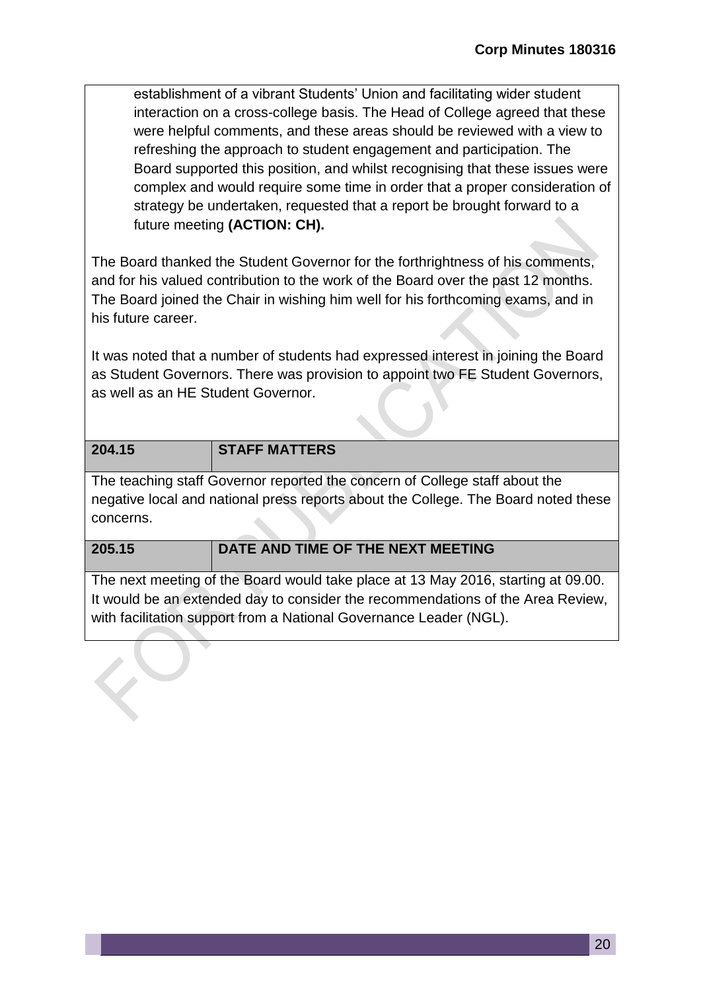establishment of a vibrant Students' Union and facilitating wider student interaction on a cross-college basis. The Head of College agreed that these were helpful comments, and these areas should be reviewed with a view to refreshing the approach to student engagement and participation. The Board supported this position, and whilst recognising that these issues were complex and would require some time in order that a proper consideration of strategy be undertaken, requested that a report be brought forward to a future meeting **(ACTION: CH).** 

The Board thanked the Student Governor for the forthrightness of his comments, and for his valued contribution to the work of the Board over the past 12 months. The Board joined the Chair in wishing him well for his forthcoming exams, and in his future career.

It was noted that a number of students had expressed interest in joining the Board as Student Governors. There was provision to appoint two FE Student Governors, as well as an HE Student Governor.

| 204.15 | <b>STAFF MATTERS</b>                                                        |
|--------|-----------------------------------------------------------------------------|
|        | The teaching staff Governor reported the concern of College staff about the |

negative local and national press reports about the College. The Board noted these concerns.

| 205.15 | DATE AND TIME OF THE NEXT MEETING |
|--------|-----------------------------------|

The next meeting of the Board would take place at 13 May 2016, starting at 09.00. It would be an extended day to consider the recommendations of the Area Review, with facilitation support from a National Governance Leader (NGL).